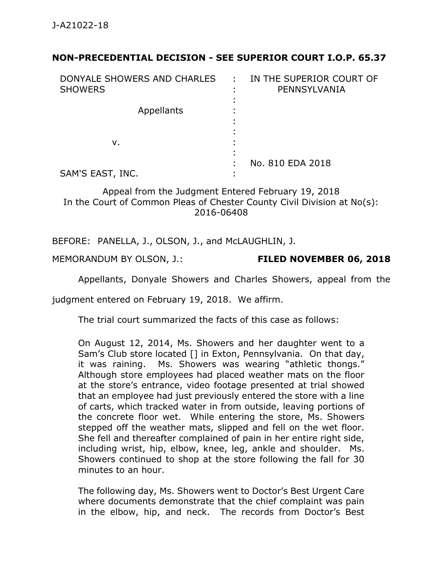## **NON-PRECEDENTIAL DECISION - SEE SUPERIOR COURT I.O.P. 65.37**

| DONYALE SHOWERS AND CHARLES :<br><b>SHOWERS</b> | IN THE SUPERIOR COURT OF<br>PENNSYLVANIA |
|-------------------------------------------------|------------------------------------------|
| Appellants                                      |                                          |
| ν.                                              |                                          |
| SAM'S EAST, INC.                                | No. 810 EDA 2018                         |

Appeal from the Judgment Entered February 19, 2018 In the Court of Common Pleas of Chester County Civil Division at No(s): 2016-06408

BEFORE: PANELLA, J., OLSON, J., and McLAUGHLIN, J.

MEMORANDUM BY OLSON, J.: **FILED NOVEMBER 06, 2018**

Appellants, Donyale Showers and Charles Showers, appeal from the

judgment entered on February 19, 2018. We affirm.

The trial court summarized the facts of this case as follows:

On August 12, 2014, Ms. Showers and her daughter went to a Sam's Club store located [] in Exton, Pennsylvania. On that day, it was raining. Ms. Showers was wearing "athletic thongs." Although store employees had placed weather mats on the floor at the store's entrance, video footage presented at trial showed that an employee had just previously entered the store with a line of carts, which tracked water in from outside, leaving portions of the concrete floor wet. While entering the store, Ms. Showers stepped off the weather mats, slipped and fell on the wet floor. She fell and thereafter complained of pain in her entire right side, including wrist, hip, elbow, knee, leg, ankle and shoulder. Ms. Showers continued to shop at the store following the fall for 30 minutes to an hour.

The following day, Ms. Showers went to Doctor's Best Urgent Care where documents demonstrate that the chief complaint was pain in the elbow, hip, and neck. The records from Doctor's Best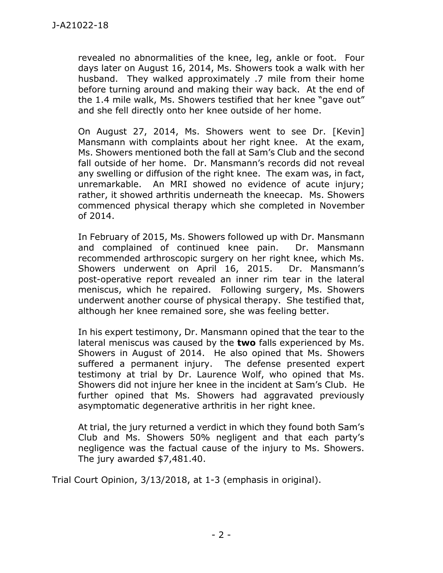revealed no abnormalities of the knee, leg, ankle or foot. Four days later on August 16, 2014, Ms. Showers took a walk with her husband. They walked approximately .7 mile from their home before turning around and making their way back. At the end of the 1.4 mile walk, Ms. Showers testified that her knee "gave out" and she fell directly onto her knee outside of her home.

On August 27, 2014, Ms. Showers went to see Dr. [Kevin] Mansmann with complaints about her right knee. At the exam, Ms. Showers mentioned both the fall at Sam's Club and the second fall outside of her home. Dr. Mansmann's records did not reveal any swelling or diffusion of the right knee. The exam was, in fact, unremarkable. An MRI showed no evidence of acute injury; rather, it showed arthritis underneath the kneecap. Ms. Showers commenced physical therapy which she completed in November of 2014.

In February of 2015, Ms. Showers followed up with Dr. Mansmann and complained of continued knee pain. Dr. Mansmann recommended arthroscopic surgery on her right knee, which Ms. Showers underwent on April 16, 2015. Dr. Mansmann's post-operative report revealed an inner rim tear in the lateral meniscus, which he repaired. Following surgery, Ms. Showers underwent another course of physical therapy. She testified that, although her knee remained sore, she was feeling better.

In his expert testimony, Dr. Mansmann opined that the tear to the lateral meniscus was caused by the **two** falls experienced by Ms. Showers in August of 2014. He also opined that Ms. Showers suffered a permanent injury. The defense presented expert testimony at trial by Dr. Laurence Wolf, who opined that Ms. Showers did not injure her knee in the incident at Sam's Club. He further opined that Ms. Showers had aggravated previously asymptomatic degenerative arthritis in her right knee.

At trial, the jury returned a verdict in which they found both Sam's Club and Ms. Showers 50% negligent and that each party's negligence was the factual cause of the injury to Ms. Showers. The jury awarded \$7,481.40.

Trial Court Opinion, 3/13/2018, at 1-3 (emphasis in original).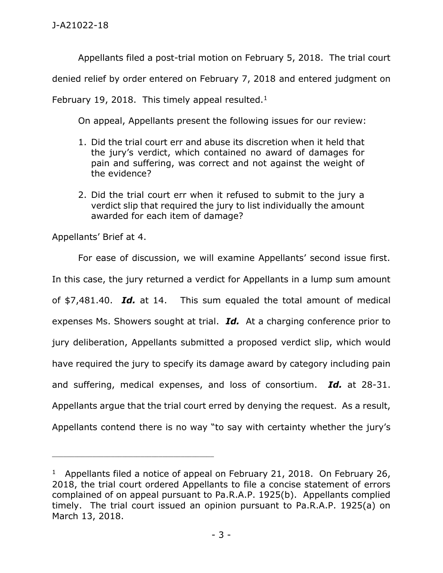Appellants filed a post-trial motion on February 5, 2018. The trial court

denied relief by order entered on February 7, 2018 and entered judgment on

February 19, 2018. This timely appeal resulted. $1$ 

On appeal, Appellants present the following issues for our review:

- 1. Did the trial court err and abuse its discretion when it held that the jury's verdict, which contained no award of damages for pain and suffering, was correct and not against the weight of the evidence?
- 2. Did the trial court err when it refused to submit to the jury a verdict slip that required the jury to list individually the amount awarded for each item of damage?

Appellants' Brief at 4.

\_\_\_\_\_\_\_\_\_\_\_\_\_\_\_\_\_\_\_\_\_\_\_\_\_\_\_\_\_\_\_\_\_\_\_\_\_\_\_\_\_\_\_\_

For ease of discussion, we will examine Appellants' second issue first. In this case, the jury returned a verdict for Appellants in a lump sum amount of \$7,481.40. *Id.* at 14. This sum equaled the total amount of medical expenses Ms. Showers sought at trial. *Id.* At a charging conference prior to jury deliberation, Appellants submitted a proposed verdict slip, which would have required the jury to specify its damage award by category including pain and suffering, medical expenses, and loss of consortium. *Id.* at 28-31. Appellants argue that the trial court erred by denying the request. As a result, Appellants contend there is no way "to say with certainty whether the jury's

<sup>&</sup>lt;sup>1</sup> Appellants filed a notice of appeal on February 21, 2018. On February 26, 2018, the trial court ordered Appellants to file a concise statement of errors complained of on appeal pursuant to Pa.R.A.P. 1925(b). Appellants complied timely. The trial court issued an opinion pursuant to Pa.R.A.P. 1925(a) on March 13, 2018.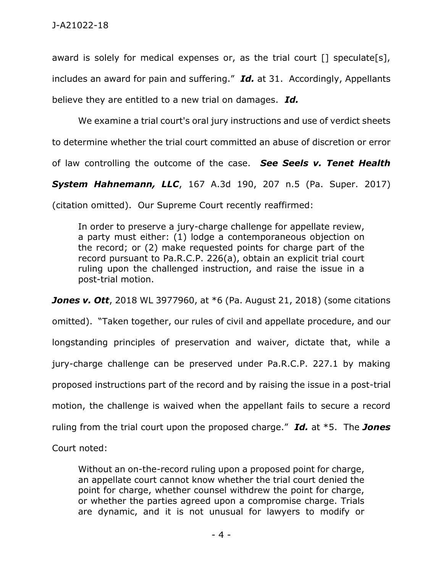award is solely for medical expenses or, as the trial court [] speculate[s], includes an award for pain and suffering." *Id.* at 31. Accordingly, Appellants believe they are entitled to a new trial on damages. *Id.*

We examine a trial court's oral jury instructions and use of verdict sheets to determine whether the trial court committed an abuse of discretion or error of law controlling the outcome of the case. *See Seels v. Tenet Health* 

*System Hahnemann, LLC*, 167 A.3d 190, 207 n.5 (Pa. Super. 2017)

(citation omitted). Our Supreme Court recently reaffirmed:

In order to preserve a jury-charge challenge for appellate review, a party must either: (1) lodge a contemporaneous objection on the record; or (2) make requested points for charge part of the record pursuant to Pa.R.C.P. 226(a), obtain an explicit trial court ruling upon the challenged instruction, and raise the issue in a post-trial motion.

*Jones v. Ott*, 2018 WL 3977960, at \*6 (Pa. August 21, 2018) (some citations omitted). "Taken together, our rules of civil and appellate procedure, and our longstanding principles of preservation and waiver, dictate that, while a jury-charge challenge can be preserved under Pa.R.C.P. 227.1 by making proposed instructions part of the record and by raising the issue in a post-trial motion, the challenge is waived when the appellant fails to secure a record ruling from the trial court upon the proposed charge." *Id.* at \*5. The *Jones*

Court noted:

Without an on-the-record ruling upon a proposed point for charge, an appellate court cannot know whether the trial court denied the point for charge, whether counsel withdrew the point for charge, or whether the parties agreed upon a compromise charge. Trials are dynamic, and it is not unusual for lawyers to modify or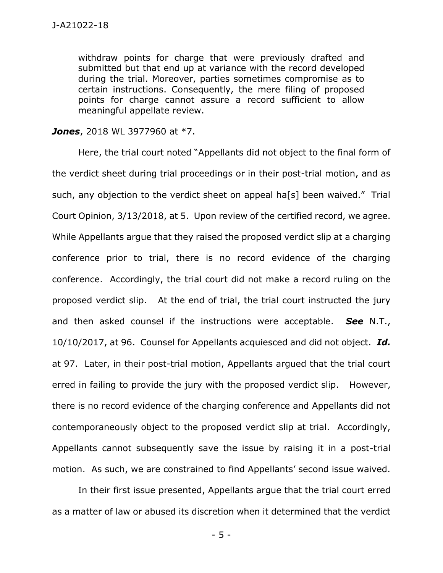withdraw points for charge that were previously drafted and submitted but that end up at variance with the record developed during the trial. Moreover, parties sometimes compromise as to certain instructions. Consequently, the mere filing of proposed points for charge cannot assure a record sufficient to allow meaningful appellate review.

## *Jones*, 2018 WL 3977960 at \*7.

Here, the trial court noted "Appellants did not object to the final form of the verdict sheet during trial proceedings or in their post-trial motion, and as such, any objection to the verdict sheet on appeal ha[s] been waived." Trial Court Opinion, 3/13/2018, at 5. Upon review of the certified record, we agree. While Appellants argue that they raised the proposed verdict slip at a charging conference prior to trial, there is no record evidence of the charging conference. Accordingly, the trial court did not make a record ruling on the proposed verdict slip. At the end of trial, the trial court instructed the jury and then asked counsel if the instructions were acceptable. *See* N.T., 10/10/2017, at 96. Counsel for Appellants acquiesced and did not object. *Id.* at 97. Later, in their post-trial motion, Appellants argued that the trial court erred in failing to provide the jury with the proposed verdict slip. However, there is no record evidence of the charging conference and Appellants did not contemporaneously object to the proposed verdict slip at trial. Accordingly, Appellants cannot subsequently save the issue by raising it in a post-trial motion. As such, we are constrained to find Appellants' second issue waived.

In their first issue presented, Appellants argue that the trial court erred as a matter of law or abused its discretion when it determined that the verdict

- 5 -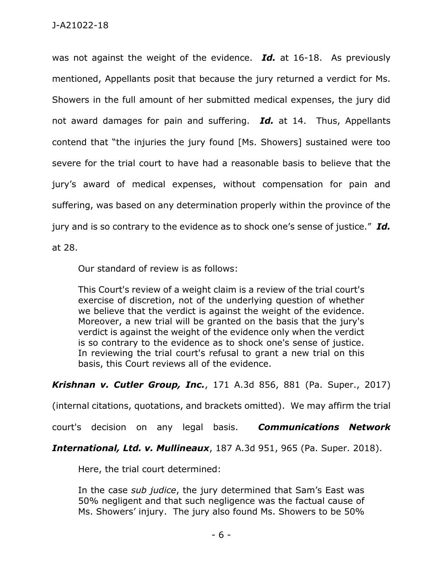was not against the weight of the evidence. *Id.* at 16-18. As previously mentioned, Appellants posit that because the jury returned a verdict for Ms. Showers in the full amount of her submitted medical expenses, the jury did not award damages for pain and suffering. *Id.* at 14. Thus, Appellants contend that "the injuries the jury found [Ms. Showers] sustained were too severe for the trial court to have had a reasonable basis to believe that the jury's award of medical expenses, without compensation for pain and suffering, was based on any determination properly within the province of the jury and is so contrary to the evidence as to shock one's sense of justice." *Id.* at 28.

Our standard of review is as follows:

This Court's review of a weight claim is a review of the trial court's exercise of discretion, not of the underlying question of whether we believe that the verdict is against the weight of the evidence. Moreover, a new trial will be granted on the basis that the jury's verdict is against the weight of the evidence only when the verdict is so contrary to the evidence as to shock one's sense of justice. In reviewing the trial court's refusal to grant a new trial on this basis, this Court reviews all of the evidence.

*Krishnan v. Cutler Group, Inc.*, 171 A.3d 856, 881 (Pa. Super., 2017)

(internal citations, quotations, and brackets omitted). We may affirm the trial

court's decision on any legal basis. *Communications Network* 

*International, Ltd. v. Mullineaux*, 187 A.3d 951, 965 (Pa. Super. 2018).

Here, the trial court determined:

In the case *sub judice*, the jury determined that Sam's East was 50% negligent and that such negligence was the factual cause of Ms. Showers' injury. The jury also found Ms. Showers to be 50%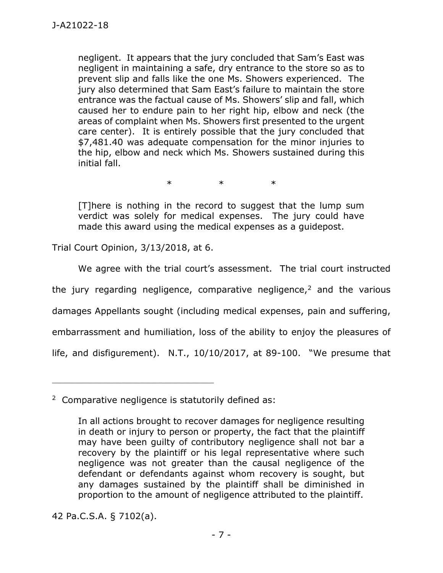negligent. It appears that the jury concluded that Sam's East was negligent in maintaining a safe, dry entrance to the store so as to prevent slip and falls like the one Ms. Showers experienced. The jury also determined that Sam East's failure to maintain the store entrance was the factual cause of Ms. Showers' slip and fall, which caused her to endure pain to her right hip, elbow and neck (the areas of complaint when Ms. Showers first presented to the urgent care center). It is entirely possible that the jury concluded that \$7,481.40 was adequate compensation for the minor injuries to the hip, elbow and neck which Ms. Showers sustained during this initial fall.

\* \* \*

[T]here is nothing in the record to suggest that the lump sum verdict was solely for medical expenses. The jury could have made this award using the medical expenses as a guidepost.

Trial Court Opinion, 3/13/2018, at 6.

\_\_\_\_\_\_\_\_\_\_\_\_\_\_\_\_\_\_\_\_\_\_\_\_\_\_\_\_\_\_\_\_\_\_\_\_\_\_\_\_\_\_\_\_

We agree with the trial court's assessment. The trial court instructed the jury regarding negligence, comparative negligence,<sup>2</sup> and the various damages Appellants sought (including medical expenses, pain and suffering, embarrassment and humiliation, loss of the ability to enjoy the pleasures of life, and disfigurement). N.T., 10/10/2017, at 89-100. "We presume that

42 Pa.C.S.A. § 7102(a).

<sup>&</sup>lt;sup>2</sup> Comparative negligence is statutorily defined as:

In all actions brought to recover damages for negligence resulting in death or injury to person or property, the fact that the plaintiff may have been guilty of contributory negligence shall not bar a recovery by the plaintiff or his legal representative where such negligence was not greater than the causal negligence of the defendant or defendants against whom recovery is sought, but any damages sustained by the plaintiff shall be diminished in proportion to the amount of negligence attributed to the plaintiff.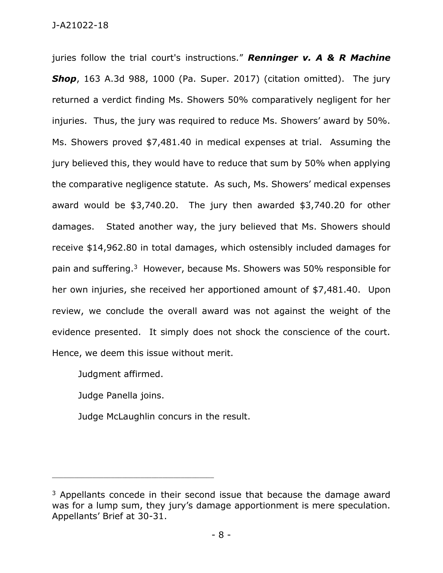juries follow the trial court's instructions." *Renninger v. A & R Machine*  **Shop**, 163 A.3d 988, 1000 (Pa. Super. 2017) (citation omitted). The jury returned a verdict finding Ms. Showers 50% comparatively negligent for her injuries. Thus, the jury was required to reduce Ms. Showers' award by 50%. Ms. Showers proved \$7,481.40 in medical expenses at trial. Assuming the jury believed this, they would have to reduce that sum by 50% when applying the comparative negligence statute. As such, Ms. Showers' medical expenses award would be \$3,740.20. The jury then awarded \$3,740.20 for other damages. Stated another way, the jury believed that Ms. Showers should receive \$14,962.80 in total damages, which ostensibly included damages for pain and suffering.<sup>3</sup> However, because Ms. Showers was 50% responsible for her own injuries, she received her apportioned amount of \$7,481.40. Upon review, we conclude the overall award was not against the weight of the evidence presented. It simply does not shock the conscience of the court. Hence, we deem this issue without merit.

Judgment affirmed.

Judge Panella joins.

\_\_\_\_\_\_\_\_\_\_\_\_\_\_\_\_\_\_\_\_\_\_\_\_\_\_\_\_\_\_\_\_\_\_\_\_\_\_\_\_\_\_\_\_

Judge McLaughlin concurs in the result.

 $3$  Appellants concede in their second issue that because the damage award was for a lump sum, they jury's damage apportionment is mere speculation. Appellants' Brief at 30-31.